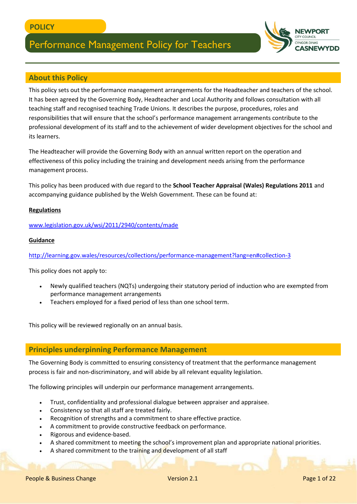

This policy sets out the performance management arrangements for the Headteacher and teachers of the school. It has been agreed by the Governing Body, Headteacher and Local Authority and follows consultation with all teaching staff and recognised teaching Trade Unions. It describes the purpose, procedures, roles and responsibilities that will ensure that the school's performance management arrangements contribute to the professional development of its staff and to the achievement of wider development objectives for the school and its learners.

The Headteacher will provide the Governing Body with an annual written report on the operation and effectiveness of this policy including the training and development needs arising from the performance management process.

This policy has been produced with due regard to the **School Teacher Appraisal (Wales) Regulations 2011** and accompanying guidance published by the Welsh Government. These can be found at:

#### **Regulations**

[www.legislation.gov.uk/wsi/2011/2940/contents/made](http://www.legislation.gov.uk/wsi/2011/2940/contents/made)

#### **Guidance**

<http://learning.gov.wales/resources/collections/performance-management?lang=en#collection-3>

This policy does not apply to:

- Newly qualified teachers (NQTs) undergoing their statutory period of induction who are exempted from performance management arrangements
- Teachers employed for a fixed period of less than one school term.

This policy will be reviewed regionally on an annual basis.

#### **Principles underpinning Performance Management**

The Governing Body is committed to ensuring consistency of treatment that the performance management process is fair and non-discriminatory, and will abide by all relevant equality legislation.

The following principles will underpin our performance management arrangements.

- Trust, confidentiality and professional dialogue between appraiser and appraisee.
- Consistency so that all staff are treated fairly.
- Recognition of strengths and a commitment to share effective practice.
- A commitment to provide constructive feedback on performance.
- Rigorous and evidence-based.
- A shared commitment to meeting the school's improvement plan and appropriate national priorities.
- A shared commitment to the training and development of all staff

**SNEW**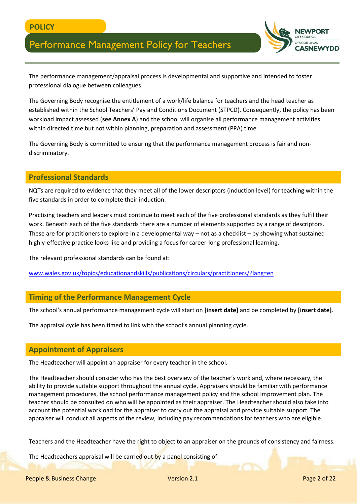

The performance management/appraisal process is developmental and supportive and intended to foster professional dialogue between colleagues.

The Governing Body recognise the entitlement of a work/life balance for teachers and the head teacher as established within the School Teachers' Pay and Conditions Document (STPCD). Consequently, the policy has been workload impact assessed (**see Annex A**) and the school will organise all performance management activities within directed time but not within planning, preparation and assessment (PPA) time.

The Governing Body is committed to ensuring that the performance management process is fair and nondiscriminatory.

#### **Professional Standards**

NQTs are required to evidence that they meet all of the lower descriptors (induction level) for teaching within the five standards in order to complete their induction.

Practising teachers and leaders must continue to meet each of the five professional standards as they fulfil their work. Beneath each of the five standards there are a number of elements supported by a range of descriptors. These are for practitioners to explore in a developmental way – not as a checklist – by showing what sustained highly-effective practice looks like and providing a focus for career-long professional learning.

The relevant professional standards can be found at:

[www.wales.gov.uk/topics/educationandskills/publications/circulars/practitioners/?lang=en](http://www.wales.gov.uk/topics/educationandskills/publications/circulars/practitioners/?lang=en)

#### **Timing of the Performance Management Cycle**

The school's annual performance management cycle will start on **[insert date]** and be completed by **[insert date]**.

The appraisal cycle has been timed to link with the school's annual planning cycle.

#### **Appointment of Appraisers**

The Headteacher will appoint an appraiser for every teacher in the school.

The Headteacher should consider who has the best overview of the teacher's work and, where necessary, the ability to provide suitable support throughout the annual cycle. Appraisers should be familiar with performance management procedures, the school performance management policy and the school improvement plan. The teacher should be consulted on who will be appointed as their appraiser. The Headteacher should also take into account the potential workload for the appraiser to carry out the appraisal and provide suitable support. The appraiser will conduct all aspects of the review, including pay recommendations for teachers who are eligible.

Teachers and the Headteacher have the right to object to an appraiser on the grounds of consistency and fairness.

The Headteachers appraisal will be carried out by a panel consisting of: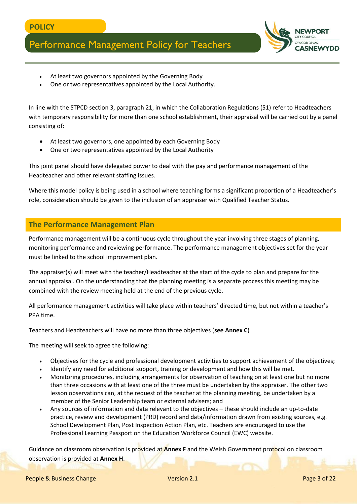

- At least two governors appointed by the Governing Body
- One or two representatives appointed by the Local Authority.

In line with the STPCD section 3, paragraph 21, in which the Collaboration Regulations (51) refer to Headteachers with temporary responsibility for more than one school establishment, their appraisal will be carried out by a panel consisting of:

- At least two governors, one appointed by each Governing Body
- One or two representatives appointed by the Local Authority

This joint panel should have delegated power to deal with the pay and performance management of the Headteacher and other relevant staffing issues.

Where this model policy is being used in a school where teaching forms a significant proportion of a Headteacher's role, consideration should be given to the inclusion of an appraiser with Qualified Teacher Status.

### **The Performance Management Plan**

Performance management will be a continuous cycle throughout the year involving three stages of planning, monitoring performance and reviewing performance. The performance management objectives set for the year must be linked to the school improvement plan.

The appraiser(s) will meet with the teacher/Headteacher at the start of the cycle to plan and prepare for the annual appraisal. On the understanding that the planning meeting is a separate process this meeting may be combined with the review meeting held at the end of the previous cycle.

All performance management activities will take place within teachers' directed time, but not within a teacher's PPA time.

Teachers and Headteachers will have no more than three objectives (**see Annex C**)

The meeting will seek to agree the following:

- Objectives for the cycle and professional development activities to support achievement of the objectives;
- Identify any need for additional support, training or development and how this will be met.
- Monitoring procedures, including arrangements for observation of teaching on at least one but no more than three occasions with at least one of the three must be undertaken by the appraiser. The other two lesson observations can, at the request of the teacher at the planning meeting, be undertaken by a member of the Senior Leadership team or external advisers; and
- Any sources of information and data relevant to the objectives these should include an up-to-date practice, review and development (PRD) record and data/information drawn from existing sources, e.g. School Development Plan, Post Inspection Action Plan, etc. Teachers are encouraged to use the Professional Learning Passport on the Education Workforce Council (EWC) website.

Guidance on classroom observation is provided at **Annex F** and the Welsh Government protocol on classroom observation is provided at **Annex H**.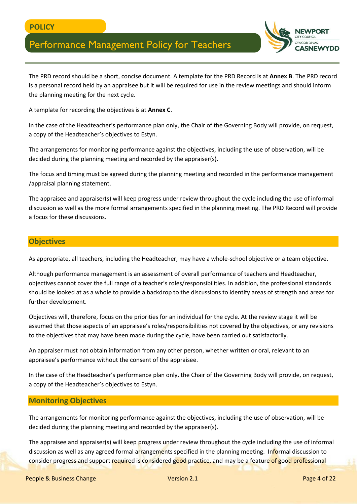

The PRD record should be a short, concise document. A template for the PRD Record is at **Annex B**. The PRD record is a personal record held by an appraisee but it will be required for use in the review meetings and should inform the planning meeting for the next cycle.

A template for recording the objectives is at **Annex C**.

In the case of the Headteacher's performance plan only, the Chair of the Governing Body will provide, on request, a copy of the Headteacher's objectives to Estyn.

The arrangements for monitoring performance against the objectives, including the use of observation, will be decided during the planning meeting and recorded by the appraiser(s).

The focus and timing must be agreed during the planning meeting and recorded in the performance management /appraisal planning statement.

The appraisee and appraiser(s) will keep progress under review throughout the cycle including the use of informal discussion as well as the more formal arrangements specified in the planning meeting. The PRD Record will provide a focus for these discussions.

#### **Objectives**

As appropriate, all teachers, including the Headteacher, may have a whole-school objective or a team objective.

Although performance management is an assessment of overall performance of teachers and Headteacher, objectives cannot cover the full range of a teacher's roles/responsibilities. In addition, the professional standards should be looked at as a whole to provide a backdrop to the discussions to identify areas of strength and areas for further development.

Objectives will, therefore, focus on the priorities for an individual for the cycle. At the review stage it will be assumed that those aspects of an appraisee's roles/responsibilities not covered by the objectives, or any revisions to the objectives that may have been made during the cycle, have been carried out satisfactorily.

An appraiser must not obtain information from any other person, whether written or oral, relevant to an appraisee's performance without the consent of the appraisee.

In the case of the Headteacher's performance plan only, the Chair of the Governing Body will provide, on request, a copy of the Headteacher's objectives to Estyn.

#### **Monitoring Objectives**

The arrangements for monitoring performance against the objectives, including the use of observation, will be decided during the planning meeting and recorded by the appraiser(s).

The appraisee and appraiser(s) will keep progress under review throughout the cycle including the use of informal discussion as well as any agreed formal arrangements specified in the planning meeting. Informal discussion to consider progress and support required is considered good practice, and may be a feature of good professional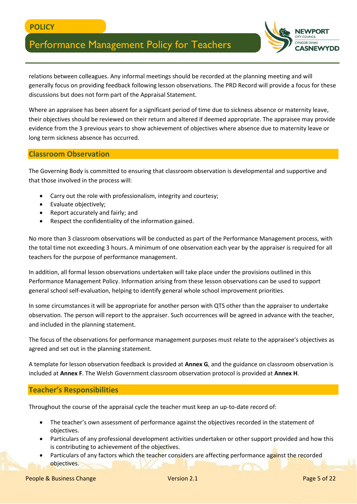

relations between colleagues. Any informal meetings should be recorded at the planning meeting and will generally focus on providing feedback following lesson observations. The PRD Record will provide a focus for these discussions but does not form part of the Appraisal Statement.

Where an appraisee has been absent for a significant period of time due to sickness absence or maternity leave, their objectives should be reviewed on their return and altered if deemed appropriate. The appraisee may provide evidence from the 3 previous years to show achievement of objectives where absence due to maternity leave or long term sickness absence has occurred.

#### **Classroom Observation**

The Governing Body is committed to ensuring that classroom observation is developmental and supportive and that those involved in the process will:

- Carry out the role with professionalism, integrity and courtesy;
- Evaluate objectively;
- Report accurately and fairly; and
- Respect the confidentiality of the information gained.

No more than 3 classroom observations will be conducted as part of the Performance Management process, with the total time not exceeding 3 hours. A minimum of one observation each year by the appraiser is required for all teachers for the purpose of performance management.

In addition, all formal lesson observations undertaken will take place under the provisions outlined in this Performance Management Policy. Information arising from these lesson observations can be used to support general school self-evaluation, helping to identify general whole school improvement priorities.

In some circumstances it will be appropriate for another person with QTS other than the appraiser to undertake observation. The person will report to the appraiser. Such occurrences will be agreed in advance with the teacher, and included in the planning statement.

The focus of the observations for performance management purposes must relate to the appraisee's objectives as agreed and set out in the planning statement.

A template for lesson observation feedback is provided at **Annex G**, and the guidance on classroom observation is included at **Annex F**. The Welsh Government classroom observation protocol is provided at **Annex H**.

#### **Teacher's Responsibilities**

Throughout the course of the appraisal cycle the teacher must keep an up-to-date record of:

- The teacher's own assessment of performance against the objectives recorded in the statement of objectives.
- Particulars of any professional development activities undertaken or other support provided and how this is contributing to achievement of the objectives.
- Particulars of any factors which the teacher considers are affecting performance against the recorded objectives.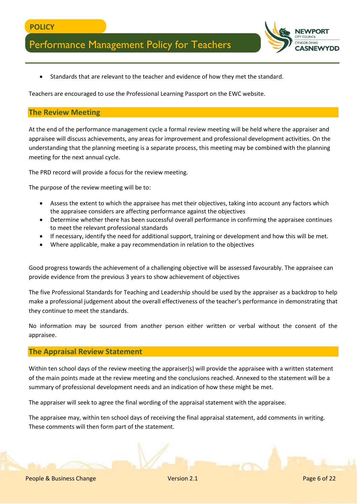• Standards that are relevant to the teacher and evidence of how they met the standard.

Teachers are encouraged to use the Professional Learning Passport on the EWC website.

#### **The Review Meeting**

At the end of the performance management cycle a formal review meeting will be held where the appraiser and appraisee will discuss achievements, any areas for improvement and professional development activities. On the understanding that the planning meeting is a separate process, this meeting may be combined with the planning meeting for the next annual cycle.

The PRD record will provide a focus for the review meeting.

The purpose of the review meeting will be to:

- Assess the extent to which the appraisee has met their objectives, taking into account any factors which the appraisee considers are affecting performance against the objectives
- Determine whether there has been successful overall performance in confirming the appraisee continues to meet the relevant professional standards
- If necessary, identify the need for additional support, training or development and how this will be met.
- Where applicable, make a pay recommendation in relation to the objectives

Good progress towards the achievement of a challenging objective will be assessed favourably. The appraisee can provide evidence from the previous 3 years to show achievement of objectives

The five Professional Standards for Teaching and Leadership should be used by the appraiser as a backdrop to help make a professional judgement about the overall effectiveness of the teacher's performance in demonstrating that they continue to meet the standards.

No information may be sourced from another person either written or verbal without the consent of the appraisee.

#### **The Appraisal Review Statement**

Within ten school days of the review meeting the appraiser(s) will provide the appraisee with a written statement of the main points made at the review meeting and the conclusions reached. Annexed to the statement will be a summary of professional development needs and an indication of how these might be met.

The appraiser will seek to agree the final wording of the appraisal statement with the appraisee.

The appraisee may, within ten school days of receiving the final appraisal statement, add comments in writing. These comments will then form part of the statement.

**SNEW**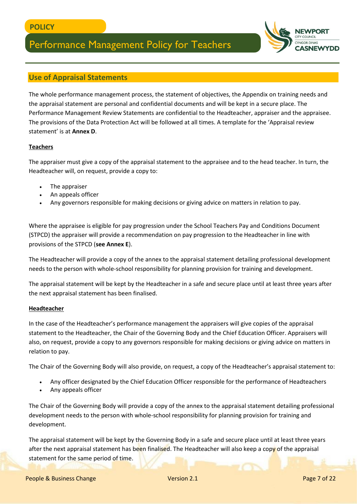# **SNFW**

### **Use of Appraisal Statements**

The whole performance management process, the statement of objectives, the Appendix on training needs and the appraisal statement are personal and confidential documents and will be kept in a secure place. The Performance Management Review Statements are confidential to the Headteacher, appraiser and the appraisee. The provisions of the Data Protection Act will be followed at all times. A template for the 'Appraisal review statement' is at **Annex D**.

#### **Teachers**

The appraiser must give a copy of the appraisal statement to the appraisee and to the head teacher. In turn, the Headteacher will, on request, provide a copy to:

- The appraiser
- An appeals officer
- Any governors responsible for making decisions or giving advice on matters in relation to pay.

Where the appraisee is eligible for pay progression under the School Teachers Pay and Conditions Document (STPCD) the appraiser will provide a recommendation on pay progression to the Headteacher in line with provisions of the STPCD (**see Annex E**).

The Headteacher will provide a copy of the annex to the appraisal statement detailing professional development needs to the person with whole-school responsibility for planning provision for training and development.

The appraisal statement will be kept by the Headteacher in a safe and secure place until at least three years after the next appraisal statement has been finalised.

#### **Headteacher**

In the case of the Headteacher's performance management the appraisers will give copies of the appraisal statement to the Headteacher, the Chair of the Governing Body and the Chief Education Officer. Appraisers will also, on request, provide a copy to any governors responsible for making decisions or giving advice on matters in relation to pay.

The Chair of the Governing Body will also provide, on request, a copy of the Headteacher's appraisal statement to:

- Any officer designated by the Chief Education Officer responsible for the performance of Headteachers
- Any appeals officer

The Chair of the Governing Body will provide a copy of the annex to the appraisal statement detailing professional development needs to the person with whole-school responsibility for planning provision for training and development.

The appraisal statement will be kept by the Governing Body in a safe and secure place until at least three years after the next appraisal statement has been finalised. The Headteacher will also keep a copy of the appraisal statement for the same period of time.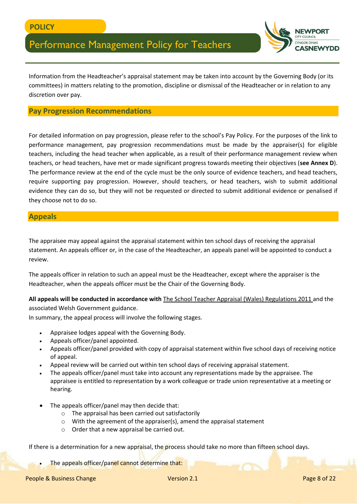

Information from the Headteacher's appraisal statement may be taken into account by the Governing Body (or its committees) in matters relating to the promotion, discipline or dismissal of the Headteacher or in relation to any discretion over pay.

#### **Pay Progression Recommendations**

For detailed information on pay progression, please refer to the school's Pay Policy. For the purposes of the link to performance management, pay progression recommendations must be made by the appraiser(s) for eligible teachers, including the head teacher when applicable, as a result of their performance management review when teachers, or head teachers, have met or made significant progress towards meeting their objectives (**see Annex D**). The performance review at the end of the cycle must be the only source of evidence teachers, and head teachers, require supporting pay progression. However, should teachers, or head teachers, wish to submit additional evidence they can do so, but they will not be requested or directed to submit additional evidence or penalised if they choose not to do so.

#### **Appeals**

The appraisee may appeal against the appraisal statement within ten school days of receiving the appraisal statement. An appeals officer or, in the case of the Headteacher, an appeals panel will be appointed to conduct a review.

The appeals officer in relation to such an appeal must be the Headteacher, except where the appraiser is the Headteacher, when the appeals officer must be the Chair of the Governing Body.

**All appeals will be conducted in accordance with** [The School Teacher Appraisal \(Wales\) Regulations 2011](http://www.legislation.gov.uk/wsi/2011/2940/contents/made) and the associated Welsh Government guidance.

In summary, the appeal process will involve the following stages.

- Appraisee lodges appeal with the Governing Body.
- Appeals officer/panel appointed.
- Appeals officer/panel provided with copy of appraisal statement within five school days of receiving notice of appeal.
- Appeal review will be carried out within ten school days of receiving appraisal statement.
- The appeals officer/panel must take into account any representations made by the appraisee. The appraisee is entitled to representation by a work colleague or trade union representative at a meeting or hearing.
- The appeals officer/panel may then decide that:
	- o The appraisal has been carried out satisfactorily
	- o With the agreement of the appraiser(s), amend the appraisal statement
	- o Order that a new appraisal be carried out.

If there is a determination for a new appraisal, the process should take no more than fifteen school days.

The appeals officer/panel cannot determine that: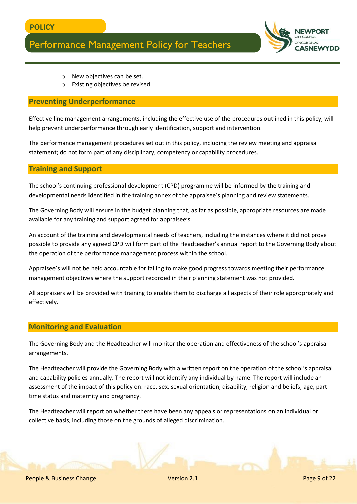

- o New objectives can be set.
- o Existing objectives be revised.

#### **Preventing Underperformance**

Effective line management arrangements, including the effective use of the procedures outlined in this policy, will help prevent underperformance through early identification, support and intervention.

The performance management procedures set out in this policy, including the review meeting and appraisal statement; do not form part of any disciplinary, competency or capability procedures.

#### **Training and Support**

The school's continuing professional development (CPD) programme will be informed by the training and developmental needs identified in the training annex of the appraisee's planning and review statements.

The Governing Body will ensure in the budget planning that, as far as possible, appropriate resources are made available for any training and support agreed for appraisee's.

An account of the training and developmental needs of teachers, including the instances where it did not prove possible to provide any agreed CPD will form part of the Headteacher's annual report to the Governing Body about the operation of the performance management process within the school.

Appraisee's will not be held accountable for failing to make good progress towards meeting their performance management objectives where the support recorded in their planning statement was not provided.

All appraisers will be provided with training to enable them to discharge all aspects of their role appropriately and effectively.

#### **Monitoring and Evaluation**

The Governing Body and the Headteacher will monitor the operation and effectiveness of the school's appraisal arrangements.

The Headteacher will provide the Governing Body with a written report on the operation of the school's appraisal and capability policies annually. The report will not identify any individual by name. The report will include an assessment of the impact of this policy on: race, sex, sexual orientation, disability, religion and beliefs, age, parttime status and maternity and pregnancy.

The Headteacher will report on whether there have been any appeals or representations on an individual or collective basis, including those on the grounds of alleged discrimination.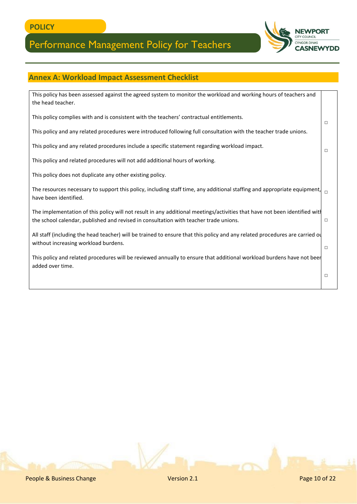

### **Annex A: Workload Impact Assessment Checklist**

| This policy has been assessed against the agreed system to monitor the workload and working hours of teachers and<br>the head teacher.                                                                             |        |
|--------------------------------------------------------------------------------------------------------------------------------------------------------------------------------------------------------------------|--------|
| This policy complies with and is consistent with the teachers' contractual entitlements.                                                                                                                           | $\Box$ |
| This policy and any related procedures were introduced following full consultation with the teacher trade unions.                                                                                                  |        |
| This policy and any related procedures include a specific statement regarding workload impact.                                                                                                                     | $\Box$ |
| This policy and related procedures will not add additional hours of working.                                                                                                                                       |        |
| This policy does not duplicate any other existing policy.                                                                                                                                                          |        |
| The resources necessary to support this policy, including staff time, any additional staffing and appropriate equipment,<br>have been identified.                                                                  | $\Box$ |
| The implementation of this policy will not result in any additional meetings/activities that have not been identified wit<br>the school calendar, published and revised in consultation with teacher trade unions. | $\Box$ |
| All staff (including the head teacher) will be trained to ensure that this policy and any related procedures are carried ou<br>without increasing workload burdens.                                                | $\Box$ |
| This policy and related procedures will be reviewed annually to ensure that additional workload burdens have not beer<br>added over time.                                                                          |        |
|                                                                                                                                                                                                                    | $\Box$ |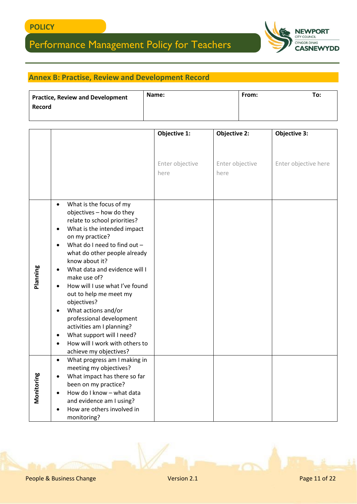

### **Annex B: Practise, Review and Development Record**

| <b>Practice, Review and Development</b> | Name: | From: | To: |
|-----------------------------------------|-------|-------|-----|
| Record                                  |       |       |     |
|                                         |       |       |     |

|            |                                                                                                                                                                                                                                                                                                                                                                                                                                                                                                                                                                                                                                      | Objective 1:            | <b>Objective 2:</b>     | <b>Objective 3:</b>  |
|------------|--------------------------------------------------------------------------------------------------------------------------------------------------------------------------------------------------------------------------------------------------------------------------------------------------------------------------------------------------------------------------------------------------------------------------------------------------------------------------------------------------------------------------------------------------------------------------------------------------------------------------------------|-------------------------|-------------------------|----------------------|
|            |                                                                                                                                                                                                                                                                                                                                                                                                                                                                                                                                                                                                                                      | Enter objective<br>here | Enter objective<br>here | Enter objective here |
| Planning   | What is the focus of my<br>$\bullet$<br>objectives - how do they<br>relate to school priorities?<br>What is the intended impact<br>$\bullet$<br>on my practice?<br>What do I need to find out -<br>$\bullet$<br>what do other people already<br>know about it?<br>What data and evidence will I<br>$\bullet$<br>make use of?<br>How will I use what I've found<br>$\bullet$<br>out to help me meet my<br>objectives?<br>What actions and/or<br>$\bullet$<br>professional development<br>activities am I planning?<br>What support will I need?<br>$\bullet$<br>How will I work with others to<br>$\bullet$<br>achieve my objectives? |                         |                         |                      |
| Monitoring | What progress am I making in<br>$\bullet$<br>meeting my objectives?<br>What impact has there so far<br>$\bullet$<br>been on my practice?<br>How do I know - what data<br>$\bullet$<br>and evidence am I using?<br>How are others involved in<br>$\bullet$<br>monitoring?                                                                                                                                                                                                                                                                                                                                                             |                         |                         |                      |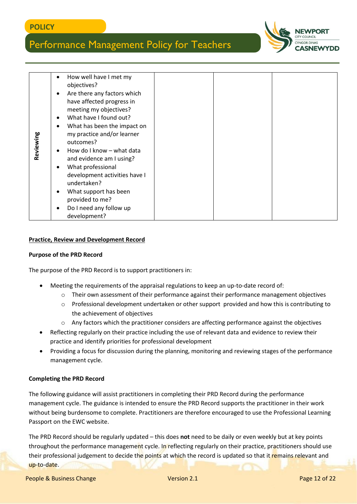

| Reviewing                                                                                                                                                                                                                                                                                                                                                                                                                                                                                                                                                                                                                                                                                                                                                                                                                                                                                                                  | How well have I met my<br>$\bullet$<br>objectives?<br>Are there any factors which<br>$\bullet$<br>have affected progress in<br>meeting my objectives?<br>What have I found out?<br>$\bullet$<br>What has been the impact on<br>$\bullet$<br>my practice and/or learner<br>outcomes?<br>How do I know - what data<br>and evidence am I using?<br>What professional<br>$\bullet$<br>development activities have I                                                                        |             |               |
|----------------------------------------------------------------------------------------------------------------------------------------------------------------------------------------------------------------------------------------------------------------------------------------------------------------------------------------------------------------------------------------------------------------------------------------------------------------------------------------------------------------------------------------------------------------------------------------------------------------------------------------------------------------------------------------------------------------------------------------------------------------------------------------------------------------------------------------------------------------------------------------------------------------------------|----------------------------------------------------------------------------------------------------------------------------------------------------------------------------------------------------------------------------------------------------------------------------------------------------------------------------------------------------------------------------------------------------------------------------------------------------------------------------------------|-------------|---------------|
|                                                                                                                                                                                                                                                                                                                                                                                                                                                                                                                                                                                                                                                                                                                                                                                                                                                                                                                            | undertaken?<br>What support has been<br>$\bullet$                                                                                                                                                                                                                                                                                                                                                                                                                                      |             |               |
|                                                                                                                                                                                                                                                                                                                                                                                                                                                                                                                                                                                                                                                                                                                                                                                                                                                                                                                            | provided to me?                                                                                                                                                                                                                                                                                                                                                                                                                                                                        |             |               |
|                                                                                                                                                                                                                                                                                                                                                                                                                                                                                                                                                                                                                                                                                                                                                                                                                                                                                                                            | Do I need any follow up<br>development?                                                                                                                                                                                                                                                                                                                                                                                                                                                |             |               |
| <b>Practice, Review and Development Record</b><br><b>Purpose of the PRD Record</b><br>The purpose of the PRD Record is to support practitioners in:<br>Meeting the requirements of the appraisal regulations to keep an up-to-date record of:<br>Their own assessment of their performance against their performance management objectives<br>$\circ$<br>Professional development undertaken or other support provided and how this is contributing to<br>$\circ$<br>the achievement of objectives<br>Any factors which the practitioner considers are affecting performance against the objectives<br>$\circ$<br>Reflecting regularly on their practice including the use of relevant data and evidence to review their<br>practice and identify priorities for professional development<br>Providing a focus for discussion during the planning, monitoring and reviewing stages of the performance<br>management cycle. |                                                                                                                                                                                                                                                                                                                                                                                                                                                                                        |             |               |
|                                                                                                                                                                                                                                                                                                                                                                                                                                                                                                                                                                                                                                                                                                                                                                                                                                                                                                                            | <b>Completing the PRD Record</b>                                                                                                                                                                                                                                                                                                                                                                                                                                                       |             |               |
|                                                                                                                                                                                                                                                                                                                                                                                                                                                                                                                                                                                                                                                                                                                                                                                                                                                                                                                            | The following guidance will assist practitioners in completing their PRD Record during the performance<br>management cycle. The guidance is intended to ensure the PRD Record supports the practitioner in their work<br>without being burdensome to complete. Practitioners are therefore encouraged to use the Professional Learning<br>Passport on the EWC website.<br>The PRD Record should be regularly updated - this does not need to be daily or even weekly but at key points |             |               |
| up-to-date.                                                                                                                                                                                                                                                                                                                                                                                                                                                                                                                                                                                                                                                                                                                                                                                                                                                                                                                | throughout the performance management cycle. In reflecting regularly on their practice, practitioners should use<br>their professional judgement to decide the points at which the record is updated so that it remains relevant and                                                                                                                                                                                                                                                   |             |               |
|                                                                                                                                                                                                                                                                                                                                                                                                                                                                                                                                                                                                                                                                                                                                                                                                                                                                                                                            | People & Business Change                                                                                                                                                                                                                                                                                                                                                                                                                                                               | Version 2.1 | Page 12 of 22 |

#### **Practice, Review and Development Record**

#### **Purpose of the PRD Record**

- Meeting the requirements of the appraisal regulations to keep an up-to-date record of:
	- o Their own assessment of their performance against their performance management objectives
	- o Professional development undertaken or other support provided and how this is contributing to the achievement of objectives
	- o Any factors which the practitioner considers are affecting performance against the objectives
- Reflecting regularly on their practice including the use of relevant data and evidence to review their practice and identify priorities for professional development
- Providing a focus for discussion during the planning, monitoring and reviewing stages of the performance management cycle.

#### **Completing the PRD Record**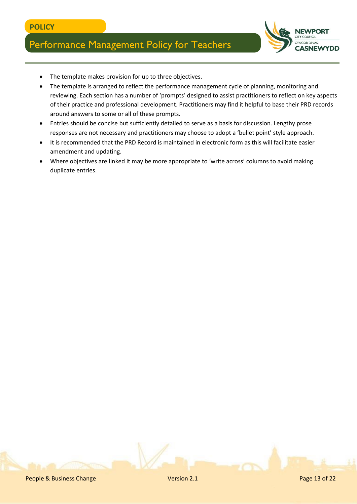

- The template makes provision for up to three objectives.
- The template is arranged to reflect the performance management cycle of planning, monitoring and reviewing. Each section has a number of 'prompts' designed to assist practitioners to reflect on key aspects of their practice and professional development. Practitioners may find it helpful to base their PRD records around answers to some or all of these prompts.
- Entries should be concise but sufficiently detailed to serve as a basis for discussion. Lengthy prose responses are not necessary and practitioners may choose to adopt a 'bullet point' style approach.
- It is recommended that the PRD Record is maintained in electronic form as this will facilitate easier amendment and updating.
- Where objectives are linked it may be more appropriate to 'write across' columns to avoid making duplicate entries.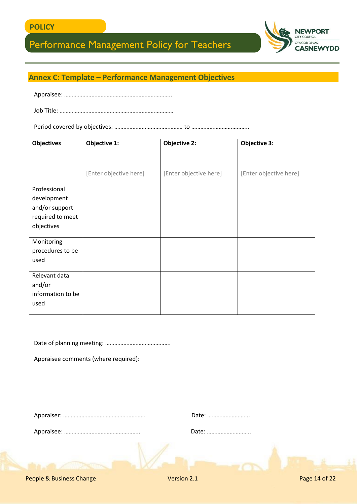

### **Annex C: Template – Performance Management Objectives**

Appraisee: ……………………………………………………………..

Period covered by objectives: ……………………………………… to ………………………………..

| <b>Objectives</b> | Objective 1:           | <b>Objective 2:</b>    | <b>Objective 3:</b>    |
|-------------------|------------------------|------------------------|------------------------|
|                   |                        |                        |                        |
|                   |                        |                        |                        |
|                   | [Enter objective here] | [Enter objective here] | [Enter objective here] |
| Professional      |                        |                        |                        |
| development       |                        |                        |                        |
| and/or support    |                        |                        |                        |
| required to meet  |                        |                        |                        |
| objectives        |                        |                        |                        |
|                   |                        |                        |                        |
| Monitoring        |                        |                        |                        |
| procedures to be  |                        |                        |                        |
| used              |                        |                        |                        |
| Relevant data     |                        |                        |                        |
| and/or            |                        |                        |                        |
| information to be |                        |                        |                        |
| used              |                        |                        |                        |
|                   |                        |                        |                        |

Date of planning meeting: …………………………………….

Appraisee comments (where required):

Appraiser: ……………………………………………… Date: ……………………….

| Date: |  |  |
|-------|--|--|
|       |  |  |

Appraisee: ……………………………………………………

| Date: |  |  |  |
|-------|--|--|--|
|-------|--|--|--|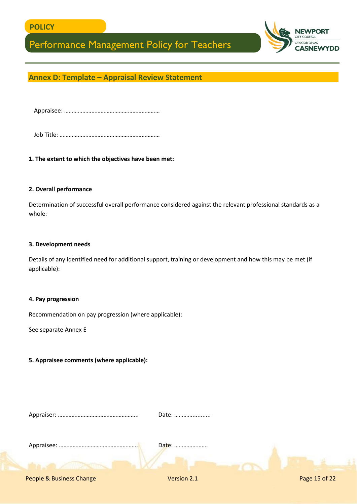



### **Annex D: Template – Appraisal Review Statement**

Appraisee: ………………………………………………………

Job Title: …………………………………………………………

**1. The extent to which the objectives have been met:**

#### **2. Overall performance**

Determination of successful overall performance considered against the relevant professional standards as a whole:

#### **3. Development needs**

Details of any identified need for additional support, training or development and how this may be met (if applicable):

#### **4. Pay progression**

Recommendation on pay progression (where applicable):

See separate Annex E

#### **5. Appraisee comments (where applicable):**

Appraiser: …………………………………………….. Date: …………...........

Appraisee: ……………………………………………. Date: ………………….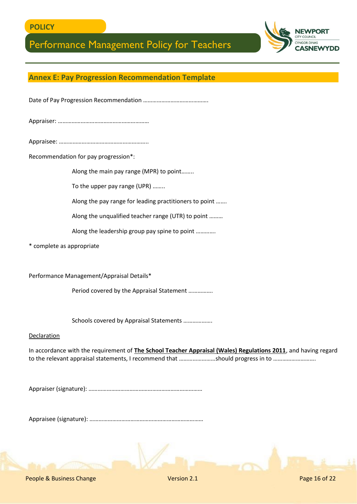

### **Annex E: Pay Progression Recommendation Template**

Date of Pay Progression Recommendation …………………………………….

Appraiser: ……………………………………………………

Appraisee: …………………………………………………..

Recommendation for pay progression\*:

Along the main pay range (MPR) to point……..

To the upper pay range (UPR) ……..

Along the pay range for leading practitioners to point …….

Along the unqualified teacher range (UTR) to point ………

Along the leadership group pay spine to point ………….

\* complete as appropriate

Performance Management/Appraisal Details\*

Period covered by the Appraisal Statement …………….

Schools covered by Appraisal Statements ……………….

#### Declaration

In accordance with the requirement of **The School Teacher Appraisal (Wales) Regulations 2011**, and having regard to the relevant appraisal statements, I recommend that ……………………should progress in to ……………………….

Appraiser (signature): …………………………………………………………………

Appraisee (signature): …………………………………………………………………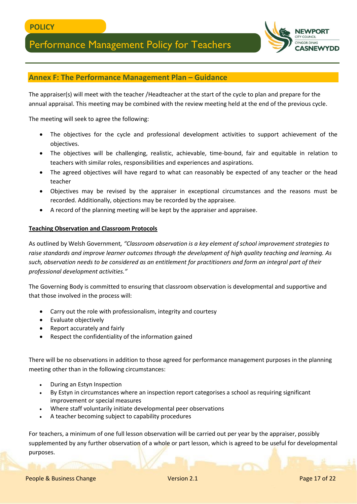

#### **Annex F: The Performance Management Plan – Guidance**

The appraiser(s) will meet with the teacher /Headteacher at the start of the cycle to plan and prepare for the annual appraisal. This meeting may be combined with the review meeting held at the end of the previous cycle.

The meeting will seek to agree the following:

- The objectives for the cycle and professional development activities to support achievement of the objectives.
- The objectives will be challenging, realistic, achievable, time-bound, fair and equitable in relation to teachers with similar roles, responsibilities and experiences and aspirations.
- The agreed objectives will have regard to what can reasonably be expected of any teacher or the head teacher
- Objectives may be revised by the appraiser in exceptional circumstances and the reasons must be recorded. Additionally, objections may be recorded by the appraisee.
- A record of the planning meeting will be kept by the appraiser and appraisee.

#### **Teaching Observation and Classroom Protocols**

As outlined by Welsh Government*, "Classroom observation is a key element of school improvement strategies to raise standards and improve learner outcomes through the development of high quality teaching and learning. As such, observation needs to be considered as an entitlement for practitioners and form an integral part of their professional development activities."*

The Governing Body is committed to ensuring that classroom observation is developmental and supportive and that those involved in the process will:

- Carry out the role with professionalism, integrity and courtesy
- Evaluate objectively
- Report accurately and fairly
- Respect the confidentiality of the information gained

There will be no observations in addition to those agreed for performance management purposes in the planning meeting other than in the following circumstances:

- During an Estyn Inspection
- By Estyn in circumstances where an inspection report categorises a school as requiring significant improvement or special measures
- Where staff voluntarily initiate developmental peer observations
- A teacher becoming subject to capability procedures

For teachers, a minimum of one full lesson observation will be carried out per year by the appraiser, possibly supplemented by any further observation of a whole or part lesson, which is agreed to be useful for developmental purposes.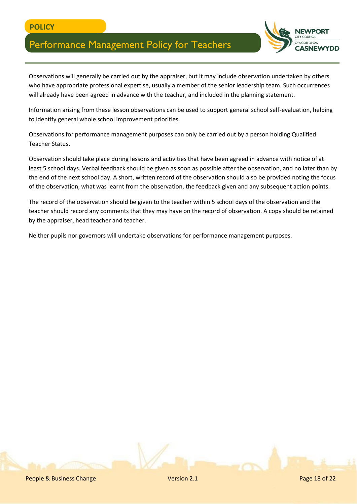

Observations will generally be carried out by the appraiser, but it may include observation undertaken by others who have appropriate professional expertise, usually a member of the senior leadership team. Such occurrences will already have been agreed in advance with the teacher, and included in the planning statement.

Information arising from these lesson observations can be used to support general school self-evaluation, helping to identify general whole school improvement priorities.

Observations for performance management purposes can only be carried out by a person holding Qualified Teacher Status.

Observation should take place during lessons and activities that have been agreed in advance with notice of at least 5 school days. Verbal feedback should be given as soon as possible after the observation, and no later than by the end of the next school day. A short, written record of the observation should also be provided noting the focus of the observation, what was learnt from the observation, the feedback given and any subsequent action points.

The record of the observation should be given to the teacher within 5 school days of the observation and the teacher should record any comments that they may have on the record of observation. A copy should be retained by the appraiser, head teacher and teacher.

Neither pupils nor governors will undertake observations for performance management purposes.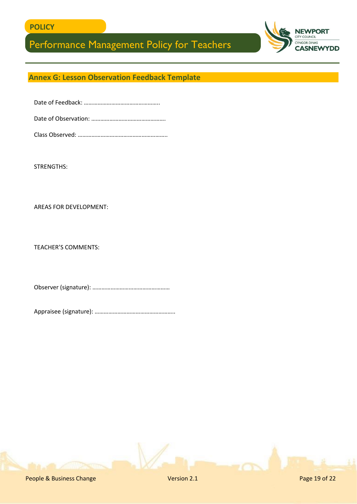

### **Annex G: Lesson Observation Feedback Template**

STRENGTHS:

AREAS FOR DEVELOPMENT:

TEACHER'S COMMENTS:

Observer (signature): ……………………………………………

Appraisee (signature): ……………………………………………..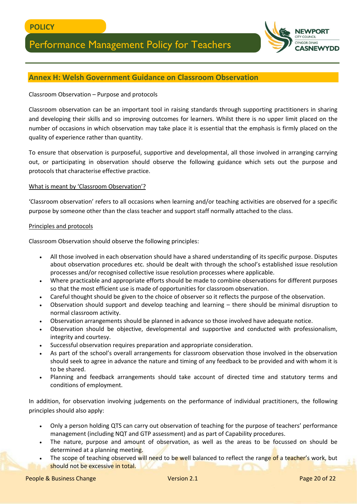

### **Annex H: Welsh Government Guidance on Classroom Observation**

#### Classroom Observation – Purpose and protocols

Classroom observation can be an important tool in raising standards through supporting practitioners in sharing and developing their skills and so improving outcomes for learners. Whilst there is no upper limit placed on the number of occasions in which observation may take place it is essential that the emphasis is firmly placed on the quality of experience rather than quantity.

To ensure that observation is purposeful, supportive and developmental, all those involved in arranging carrying out, or participating in observation should observe the following guidance which sets out the purpose and protocols that characterise effective practice.

#### What is meant by 'Classroom Observation'?

'Classroom observation' refers to all occasions when learning and/or teaching activities are observed for a specific purpose by someone other than the class teacher and support staff normally attached to the class.

#### Principles and protocols

Classroom Observation should observe the following principles:

- All those involved in each observation should have a shared understanding of its specific purpose. Disputes about observation procedures etc. should be dealt with through the school's established issue resolution processes and/or recognised collective issue resolution processes where applicable.
- Where practicable and appropriate efforts should be made to combine observations for different purposes so that the most efficient use is made of opportunities for classroom observation.
- Careful thought should be given to the choice of observer so it reflects the purpose of the observation.
- Observation should support and develop teaching and learning there should be minimal disruption to normal classroom activity.
- Observation arrangements should be planned in advance so those involved have adequate notice.
- Observation should be objective, developmental and supportive and conducted with professionalism, integrity and courtesy.
- Successful observation requires preparation and appropriate consideration.
- As part of the school's overall arrangements for classroom observation those involved in the observation should seek to agree in advance the nature and timing of any feedback to be provided and with whom it is to be shared.
- Planning and feedback arrangements should take account of directed time and statutory terms and conditions of employment.

In addition, for observation involving judgements on the performance of individual practitioners, the following principles should also apply:

- Only a person holding QTS can carry out observation of teaching for the purpose of teachers' performance management (including NQT and GTP assessment) and as part of Capability procedures.
- The nature, purpose and amount of observation, as well as the areas to be focussed on should be determined at a planning meeting.
- The scope of teaching observed will need to be well balanced to reflect the range of a teacher's work, but should not be excessive in total.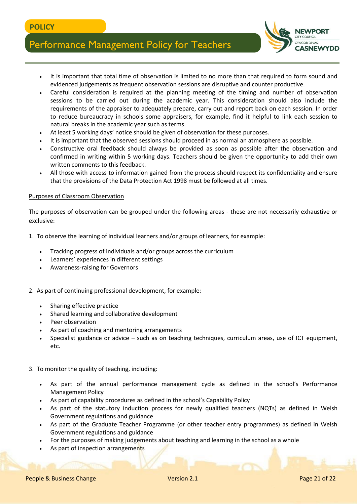

- It is important that total time of observation is limited to no more than that required to form sound and evidenced judgements as frequent observation sessions are disruptive and counter productive.
- Careful consideration is required at the planning meeting of the timing and number of observation sessions to be carried out during the academic year. This consideration should also include the requirements of the appraiser to adequately prepare, carry out and report back on each session. In order to reduce bureaucracy in schools some appraisers, for example, find it helpful to link each session to natural breaks in the academic year such as terms.
- At least 5 working days' notice should be given of observation for these purposes.
- It is important that the observed sessions should proceed in as normal an atmosphere as possible.
- Constructive oral feedback should always be provided as soon as possible after the observation and confirmed in writing within 5 working days. Teachers should be given the opportunity to add their own written comments to this feedback.
- All those with access to information gained from the process should respect its confidentiality and ensure that the provisions of the Data Protection Act 1998 must be followed at all times.

#### Purposes of Classroom Observation

The purposes of observation can be grouped under the following areas - these are not necessarily exhaustive or exclusive:

- 1. To observe the learning of individual learners and/or groups of learners, for example:
	- Tracking progress of individuals and/or groups across the curriculum
	- Learners' experiences in different settings
	- Awareness-raising for Governors
- 2. As part of continuing professional development, for example:
	- Sharing effective practice
	- Shared learning and collaborative development
	- Peer observation
	- As part of coaching and mentoring arrangements
	- Specialist guidance or advice such as on teaching techniques, curriculum areas, use of ICT equipment, etc.

#### 3. To monitor the quality of teaching, including:

- As part of the annual performance management cycle as defined in the school's Performance Management Policy
- As part of capability procedures as defined in the school's Capability Policy
- As part of the statutory induction process for newly qualified teachers (NQTs) as defined in Welsh Government regulations and guidance
- As part of the Graduate Teacher Programme (or other teacher entry programmes) as defined in Welsh Government regulations and guidance
- For the purposes of making judgements about teaching and learning in the school as a whole
- As part of inspection arrangements